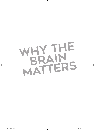# WHY THE WATTERS

 $\bigoplus$ 

 $\bigoplus$ 

 $\bigoplus$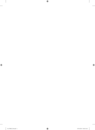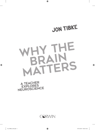

 $\bigoplus$ 

# A TEACHER EXPLORES NEUROSCIENCE

**CORWIN** 

 $\bigoplus$ 

 $\bigoplus$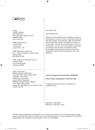

Corwin A SAGE company 2455 Teller Road Thousand Oaks, California 91320 (0800)233-9936 www.corwin.com

SAGE Publications Ltd 1 Oliver's Yard 55 City Road London EC1Y 1SP

⊕

SAGE Publications India Pvt Ltd B 1/I 1 Mohan Cooperative Industrial Area Mathura Road New Delhi 110 044

SAGE Publications Asia-Pacific Pte Ltd 3 Church Street #10-04 Samsung Hub Singapore 049483

© Jon Tibke 2019

 $\bigoplus$ 

First published 2019

Apart from any fair dealing for the purposes of research or private study, or criticism or review, as permitted under the Copyright, Designs and Patents Act, 1988, this publication may be reproduced, stored or transmitted in any form, or by any means, only with the prior permission in writing of the publishers, or in the case of reprographic reproduction, in accordance with the terms of licences issued by the Copyright Licensing Agency. Enquiries concerning reproduction outside those terms should be sent to the publishers.

#### Editor: James Clark Editorial assistant: Diana Alves Production editor: Tanya Szwarnowska Copyeditor: Jane Fricker Proofreader: Clare Weaver Indexer: Martin Hargreaves Marketing manager: Dilhara Attygalle Cover design: Wendy Scott Typeset by: C&M Digitals (P) Ltd, Chennai, India Printed in the UK

#### **Library of Congress Control Number: 2018950142**

**British Library Cataloguing in Publication data**

A catalogue record for this book is available from the British Library

ISBN 978-1-4739-9290-0 ISBN 978-1-4739-9291-7 (pbk)

At SAGE we take sustainability seriously. Most of our products are printed in the UK using responsibly sourced papers and boards. When we print overseas we ensure sustainable papers are used as measured by the PREPS grading system. We undertake an annual audit to monitor our sustainability.

♠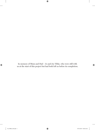In memory of Mum and Dad – Jo and Joe Tibke, who were still with us at the start of this project but had both left us before its completion.

 $\bigoplus$ 

 $\bigoplus$ 

 $\bigoplus$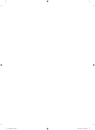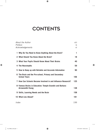# **CONTENTS**

 $\bigoplus$ 

|       | About the Author                                                                    | viii      |
|-------|-------------------------------------------------------------------------------------|-----------|
|       | Preface                                                                             | <b>IX</b> |
|       | Acknowledgements                                                                    | xi        |
|       | 1 Why Do You Need to Know Anything About the Brain?                                 | 1         |
|       | 2 What Should You Know About the Brain?                                             | 18        |
|       | 3 What Your Pupils Should Know About Their Brains                                   | 40        |
|       | 4 The Neuromyths                                                                    | 59        |
|       | 5 How to Keep up with Reliable and Accurate Information                             | 90        |
|       | 6 The Brain and the Pre-school, Primary and Secondary<br><b>School Years</b>        | 106       |
|       | 7 How Can Schools Become Involved in and Influence Research?                        | 125       |
|       | 8 Famous Brains in Education: Temple Grandin and Barbara<br><b>Arrowsmith-Young</b> | 138       |
|       | 9 Skills, Learning Needs and the Brain                                              | 158       |
|       | 10 What Lies Ahead?                                                                 | 181       |
| Index |                                                                                     | 199       |

 $\bigoplus$ 

 $\overline{\phantom{a}}$ 

 $\bigoplus$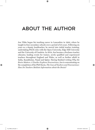# ABOUT THE AUTHOR

 $\bigoplus$ 

Jon Tibke began his teaching career in Lancashire in 1982, where he taught in four secondary schools over a period of 25 years. Following six years as a deputy headteacher, he moved into initial teacher training, undertaking PGCE roles with the Open University, Edge Hill University and the University of Cumbria. In 2014, Jon became a freelance teacher educator, leading events for trainee, newly qualified and experienced teachers throughout England and Wales, as well as further afield in India, Kazakhstan, Nepal and Qatar. Having finished writing *Why the Brain Matters: A Teacher Explores Neuroscience*, Jon is concentrating on the completion of his PhD thesis, *The Case of Teachers and Neuroscience: How Do Teachers Mediate Information about the Brain?*

⊕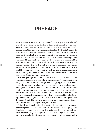# PREFACE

 $\bigoplus$ 

'Are you a neuroscientist?' I was once asked, by an acquaintance who had heard I was working on this book. No, I am most certainly not a neuroscientist, I am a teacher. If teachers are to benefit from neuroscientific findings about learning and teaching and are to actively collaborate with educational neuroscience research, there is a need to understand the issues and complexities from the perspective of teachers. Doubtlessly there is a similar need to understand how neuroscientists conceptualise education. My aim has been to present what I consider to be some of the main issues and complexities of educational neuroscience, writing as a teacher, with largely a teacher audience in mind. Of course, I very much hope that my perspective is of interest to educational neuroscientists. I would hope that they would be patient with any naiveties in my scientific understanding and focus on the possibilities and concerns raised. That is not to say that everything here is new.

Not new, perhaps, but different in some ways to many books about educational neuroscience that I have encountered. For example, it is by design that there is not a 'brain primer' occupying pages of this book. That information is available elsewhere, written by individuals much more qualified to write about it than I am. Several books of this type are cited in various chapters here. I am not convinced that most teachers need extensive neuroanatomical knowledge and for this reason I have sought to offer such information only when it is essential to understanding the text. For chapters where this occurs, there is a short glossary at the chapter's end. The glossaries are of an introductory nature and interested readers are encouraged to explore further.

A daunting characteristic of educational neuroscience, and neuroscience in general, is the sheer volume of research that is emerging daily. Clearly, it is not possible to explore the vast research in any one book and it has been necessary to be highly selective. There is a great deal of exciting new research, significant completed research and legions of highly

⊕

♠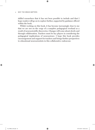skilled researchers that it has not been possible to include and that I hope readers will go on to explore further, supported by guidance offered within the book.

 $\bigoplus$ 

Whilst working on this book, it has become increasingly clear to me that we are not on the verge of a complete pedagogical overhaul as a result of neuroscientific discoveries. Changes will come about slowly and through collaboration. Teachers must be key players in considering the pedagogical implications of neuroscience. I hope this book provides encouragement and support for teachers and brings further perspectives to educational neuroscientists in this collaborative endeavour.

⊕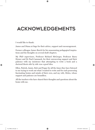# ACKNOWLEDGEMENTS

 $\bigoplus$ 

I would like to thank:

James and Diana at Sage for their advice, support and encouragement.

Former colleague James Burch for his unassuming pedagogical inspirations and his thoughts on several draft chapters.

My PhD supervisors, Professor Richard McGregor, Professor Barry Hymer and Dr Paul Cammack, for their unwavering support and their patience with my insistence that attempting to write a book and a doctoral thesis side by side was a good idea.

Ellen, Patrick, Jamie, Rob and Poppy for all the times they have listened to me trying to work out what I wanted to write and for each possessing fascinating brains and minds of their own, and my wife, Helen, whose support and patience are boundless.

All the teachers who have shared their thoughts and questions about the brain with me.

⊕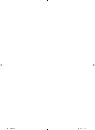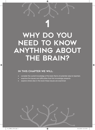# 1 WHY DO YOU NEED TO KNOW ANYTHING ABOUT THE BRAIN?

 $\bigoplus$ 

# In this chapter we will:

- consider the current knowledge of the brain that is of potential value to teachers
- examine the issues and difficulties that this knowledge presents
- explore where else in the book these issues are examined

⊕

 $\bigoplus$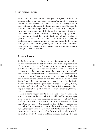This chapter explores this pertinent question – just why do teachers need to know anything about the brain? After all, for centuries there have been excellent teachers who have known very little, or even nothing at all, about the brain and this is still the case. In addition, there are things that scientists, teachers and the public previously understood about the brain that more recent research has shown to be entirely incorrect. Conversely, having up-to-date, accurate knowledge of the brain in itself does not make anybody a great teacher. As Chapter 4 demonstrates, there is still plenty of confusion and misinformation about the brain to be found amongst teachers and the general public and many of those who have taken part in some of the research that reveals this actually are highly effective teachers.

 $\bigoplus$ 

## **Brain in Research**

In the fast-moving, technological, information-laden times in which we live, however, it would be both foolish and a missed opportunity for education if the teaching profession chose to ignore or dismiss the constantly expanding body of research about the human body's most complex organ, the brain, even though the research comes, or should come, with many notes of caution. Overarching the many branches of neuroscience research and the myriad questions about the brain that this research seeks to answer, we have the European Union's Human Brain Project that has run since 2013 and in the USA the Brain Research through Advancing Innovative Neurotechnologies (BRAIN) Initiative, both of which have huge funding. This is a reflection of the hopes and aspirations, particularly for health and education, that neuroscience generates.

This is not to suggest that to keep abreast of this research is by any means easy, as the research is inevitably highly complex, specialised, and laden with language unfamiliar to all but those working in the field. It is unrealistic to imagine busy teachers having either the time or the specialised knowledge to explore this research and in many cases, even with the growing support for *open access*, the research is not readily available for teachers or the public to access. Even when it is, it is often frustrating for teachers who do attempt to study it, since it seldom contains findings that are

⊕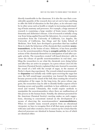directly transferable to the classroom. It is also the case that a considerable quantity of the research does not set out to have anything to offer the field of education in the first place, as its relevance may be in other areas such as health or simply in increasing understanding of brain anatomy and processes. For example, a huge amount of research is examining a large number of brain issues relating to dementia and Alzheimer's disease. A lot of research is initially a long way from being applied beyond the laboratory. In a recent example, researchers from the University of California, Los Angeles, the University of California, San Diego and the Icahn School of Medicine, New York, have developed a procedure that has enabled them to study the behaviour of the chemicals that constitute **neurotransmitters**, in the brains of mice. Hitherto, it has been possible to see the neurotransmitters firing in **synaptic activity**, but not the actions of the chemicals themselves in anticipation of and after synaptic activity. The researchers created 'cell-based detectors', able to 'sense the release of specific neurotransmitters in real time', enabling the researchers to see what the chemicals were doing before and after they are active in synapses. In a press release (22.8.16) the American Chemical Society explained that mice learned to associate the sound of a bell with the receipt of sugar, in the manner of Pavlov's classic dog experiment. The reward-related neurotransmitter **dopamine** was initially only visible upon receiving the sugar but once the bell sound/sugar association was learned the dopamine became present at the sound of the bell, thus creating the reward in anticipation of the sugar. In the long term, the press release suggests, the researchers may be able to identify further aspects of how learning occurs and possibly contribute to how addiction is understood and treated. Ultimately, this would require methods to manipulate the neurotransmitters where there are malfunctions of this process in the human brain. Notably, the abstract presented for the American Chemical Society's meeting makes no such suggestions, choosing to concentrate instead on the development of a means of observing the neurotransmitters' **neuromodulators**. When we consider many research projects from an educational viewpoint, we have to recognise first of all that many projects work with mice and other creatures, but we cannot say for certain that the observed processes are identical in human brains, no two of which are identical either.

 $\bigoplus$ 

♠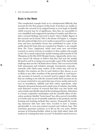## **Brain in the News**

This complicated example leads us to a fundamental difficulty that accounts for the first purpose of this book: if teachers are unable to consider the research in its original format or even begin to identify which research may be of significance, then they are susceptible to over-simplified and exaggerated reporting of complex and often tentative research findings and need to know where reliable digests of the research can be found. This is the theme of Chapter 5, a chapter that also acknowledges how news media in general love a good brain story and how journalistic licence has contributed to some of the myths about the brain that are examined in Chapter 4. An example from *The Times* (Appleyard, 2016) used some now out-of-date research on mirror neurons in monkeys to then explain why people in the UK so much enjoyed the medal-winning achievements of UK Olympians at the Rio 2016 Olympic Games. Apparently, mirror neurons caused UK citizens to believe that they had won the medals themselves and in so doing were personally a part of the medal table challenge that saw the UK finish above China. This was received with both amusement and irritation amongst neuroscience networks – networks with which many readers of the article may well not be familiar. Our teachers are free to read whatever they choose, so are as likely as any other members of the general public to read inaccurate accounts of research, or research used to support other claims that are nothing to do with the research itself. Such accounts are by no means restricted to any particular type of news media and can be seen in broadsheets, tabloids and their online equivalents, video channels, discussion forums and a whole array of websites. Inevitably, such distorted versions of research find their way into books and onto websites specifically aimed at the teaching profession. Education is a broad, competitive marketplace and the scientific allure of education products labelled 'brain-based' has often proved irresistible, as it lends such an air of scientific authority to the products and the learning and teaching methods they espouse. Frequently the resulting classroom fads have later been revealed to have a limited, questionable or even non-existent research and evidence base. This sometimes generates cynicism, as it did on the very active Twitter account of @TeachersToolkit, which in July 2016 asked 'what will teachers be wasting their time on next?' It should be noted, however,

 $\bigoplus$ 

♠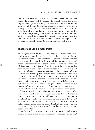that teachers have often learned from such fads, when they and their schools have developed the capacity to critically assess the actual impact and longer term efficacy of the so-called 'brain-based' strategies, beyond the inevitable initial response to the novelty of a new strategy. The term 'brain-based' itself deserves critical consideration: what form of learning does *not* involve the brain? Sometimes the term is used legitimately in an attempt to reflect efforts to find relevant neuroscientific evidence to underpin learning and teaching methods, but there are others who use the term less responsibly to try to add a scientific authority where it does not really exist.

 $\bigoplus$ 

## **Teachers as Critical Consumers**

Encouraging this criticality is the second purpose of this book. I contend that the era in which teachers might choose to ignore information about the brain's role in the processes of both learning and teaching has passed, as the research is now so extensive, and schools and teachers need to become 'critical consumers' (Sylvan and Christodoulou, 2010). Part of this criticality is the recognition that there is nothing teleological about neuroscience – we should not expect it to become a one-stop, sole source of our understanding of learning and teaching. Yet teachers have commented to me, as a result of my interest in this topic, that at some stage in the future I will be in the enviable position of 'having all the answers'. This will most certainly not be the case and neuroscience will always be one, but only one, of a rich array of disciplines that contribute to our understanding of learning and teaching. As learners and teachers, we are not simply just a brain, nor is the brain the 'executive controller' that it, or at least its cerebral **cortex**, is often portrayed to be. 'Executive controller' is one of many analogies that in themselves deserve further consideration. Although they can aid our understanding they can also draw in conceptual dimensions that are not accurate: your brain is not a computer, nor is it a muscle. The originators of these expressions did not say that the brain was a computer or a muscle; they made analogies that as they are passed on have become distorted.

Our brains do not always respond in the most helpful ways – witness the panic a high stakes examination can induce even amongst

⊕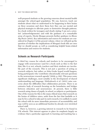well-prepared students or the growing concerns about mental health amongst the school-aged population. We can, however, teach our students about what we understand to be happening in their brains on these occasions and show them how they can use mental and physical strategies to alleviate panic or destructive thought patterns. In a book written for teenagers and clearly stating 'I am not a scientist' (acknowledgements) and with the guidance of a remarkable array of experts, Nicola Morgan presents further guidance in *Blame My Brain* (2013). Key information and sources for students are considered in Chapter 3 of the present volume, where we will pick up the question of whether the implications of Morgan's book title are ones that we should accept, as well as considering helpful brain-related information and sources for students.

 $\bigoplus$ 

# **Schools as Research Participants**

A third key reason for schools and teachers to be encouraged to engage with neuroscience (and for a book such as this) is the fact that, like it or not, schools, teachers and their students are inevitably part of the research. This is not just a question of acting as research subjects, but rather, as John Geake hoped would happen, being participants who 'contribute educationally relevant questions to the neuroscience research agenda' (2009, p. 189). This poses some significant challenges, most notably in the development of shared understanding and language. Edelenbosch et al. (2015) raise concerns about the difficulties that collaboration presents. There is an extensive body of research focusing on the boundaries and bridges between education and neuroscience. At present, there is little research using classes of pupils, in school, as subjects or participants. One of the reasons for this is the many ethical issues that research on the brains of children raises, aside from the fact that laudable as it may be for a school to take part in such research, it is unlikely to assist the school with its more immediate pressures of accountability and may well be seen as an additional burden by already over-stretched school staff.

There is, however, a growing interest in research to be found in UK schools. This interest appears to place its emphasis largely on evidence that a particular approach to learning and teaching has a

⊕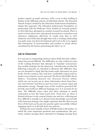positive impact on pupil outcomes, with a view to then trialling it further in the differing contexts of individual schools. The Research Schools Project, funded by the Education Endowment Foundation, adopts this approach. The Education Endowment Foundation, in partnership with the Wellcome Trust, funded six research projects in 2014 that have attempted to conduct research in schools. There is much to learn about how educational neuroscience researchers and educators collaborate effectively. It would seem that in 2011 Anderson and Della Sala thought that such a working relationship was quite some way from development and went as far as to suggest that 'interaction' of neuroscientists and teachers is 'nearly always constituted by the former patronising the latter' (p. 3).

 $\bigoplus$ 

#### **Lab to Classroom**

It is not just in relationships between these fields that this collaboration has proved difficult. The difficulties are also evident in some of the existing literature that attempts to 'translate' neuroscience into useable strategies for the classroom. I should point out that the following comments are intended to illustrate this difficulty; they are not intended to imply that the books under discussion are poor books. On the contrary, they each have worthwhile content and are books I was excited to receive and read. The first is Pat Wolfe's *Brain Matters: Translating Research into Classroom Practice* (2001), which sets out in part one to share information about brain function and structure and then in part two turns to sensory input and information storage. Though some of this would be presented differently and would use different language now, it is accurate for its time. The difficulty arises when part three attempts to match 'instruction to how the brain learns best'. From here on, there is limited reference to the content of parts one and two, reflecting just how difficult it actually is to discuss brain knowledge concurrently with classroom strategy. One might conjecture that the ideas in part three of the book can be put into practice quite successfully without engaging much or at all with parts one and two.

Perhaps the most valuable section of Wolfe's book is the preface, in which she raises important questions and considerations. She promotes caution amongst those interested in bringing learning from

♠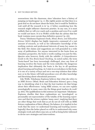neuroscience into the classroom, since 'educators have a history of jumping on bandwagons' (p. v). She rightly points out that there is a great deal we do not know about the brain, but it would be 'foolish to wait until all the research is in' (p. v) before considering how the research might influence classroom practice. In any case, it is most unlikely that we will ever reach such a position and even if we could we would not know. It is to Wolfe's credit that she advises that her book 'contains more caveats than definitive answers' (p. viii).

 $\bigoplus$ 

Tracey Tokuhama-Espinosa's book, *Mind, Brain, and Education Science* (2011) displays her highly impressive command of a vast amount of research, as well as her informative knowledge of the working contexts and professional interests of many key names in the field. Her claims and suggestions are well grounded in a wide array of publications. For anyone interested in the brain from an education perspective, the book is worth reading even just for this. Queries arise however, firstly with the subtitle: *A Comprehensive Guide to the New Brain-based Teaching*. As noted earlier, the term 'brain-based' has been increasingly challenged, since any form of learning involves the brain and the term embodies the dangerous implication that ultimately the brain is the key to all questions about learning and teaching. As I state in several places in this book, it is one of a variety of keys and not a one-stop solution that either now or in the future will hold precedence over all other knowledge and theorising about educational processes.

Like Wolfe, Tokuhama-Espinosa believes that what she refers to as *MBE Science* (Mind, Brain and Education Science) goes a long way to identifying what it is that the best teachers do that brings about their effectiveness: 'using MBE science, we can now explain neurologically in many cases why the things great teachers do work' (p. 205). The qualifications in this sentence are important: Tokuhama-Espinosa clarifies that these explanations are 'neurological', so presumably not representative of the totality of the learning experience and that the science explains 'many cases', implying that there are other things that work that as yet do not sit well with an MBE Science explanation of their efficacy. On balance, it is implicit in her work that the more we understand learning and teaching (neurologically) then the better placed we will be to understand why some strategies work and others may not, as well as being better informed to devise new strategies and interventions.

⊕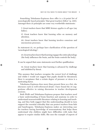Something Tokuhama-Espinosa does offer is a 21-point list of neurologically based principles 'that great teachers follow' (p. 206). Amongst these 21 principles are some very worthwhile statements:

 $\textcircled{\scriptsize{*}}$ 

7. Great teachers know that MBE Science *applies to all ages* (my italics).

17. Great teachers know that learning relies on memory and attention.

20. Great teachers know that learning involves conscious and unconscious processes.

In statement 21, we perhaps have clarification of the question of 'neurological teleology':

21. Great teachers know that learning engages the entire physiology (the body influences the brain, and the brain controls the body).

It can be argued that some statements need further qualification:

12. Great teachers know that learning is advanced by challenge and inhibited by threat.

This assumes that teachers recognise the correct level of challenge and whilst I would not suggest that pupils should be threatened, there is acceptance that a certain degree of pressure or stress is a motivating factor.

Tokuhama-Espinosa does more than present these as a list; she discusses each in well-referenced detail. I have found the 21 suggestions effective in raising discussion in teacher development sessions.

Both Wolfe and Tokuhama-Espinosa propose that teachers need a basic understanding of brain function and anatomy in order to understand neuroscientific literature relating to learning and teaching, and they both suggest that this understanding should in turn support the essential criticality that can protect teachers from fads and bandwagons. Tokuhama-Espinosa makes an interesting case for teachers having knowledge of neuroanatomy that helps them understand why children might have difficulties with tasks that appear to require similar skills. She uses the example of aspects of

⊕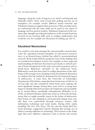language, citing the work of Argyris et al. (2007) and Kacinik and Chiarello (2007). Their work reveals that spelling and the use of metaphors, for example, involve different neural networks and Tokuhama-Espinosa suggests that awareness of this can help teachers understand why the same child can be good at one aspect of language and less good at another. Tokuhama-Espinosa's book contains other thought-provoking breakdowns of the mental functions involved in key learning skills such as reading, mathematics and creativity (see, for example, her discussion of reading, pp. 180–8).

 $\bigoplus$ 

# **Educational Neuroscience**

It is useful to note that amongst the neuroscientific research there exists the education-oriented discipline of *educational* neuroscience, or as Howard-Jones (2008a) has called it, neuroeducational research. Work in this field has produced some of the findings that are considered in Chapters 2 and 3. For example, we have improved understanding of what have been known previously as 'critical' periods of brain development in the early years and researchers such as Sarah-Jayne Blakemore specialise in the adolescent brain. Blakemore's work has done much to realign discussions of the challenges of the teenage years, bringing a brain development dimension to a debate that has tended be dominated by the hormonal impact of adolescence. A team from the University of Cambridge's Department of Psychiatry, using data from brain scans of 300 14- to 24-year-olds, has also considered which brain areas undergo the most significant changes during these years and in so doing have begun to identify links between these developments and susceptibility to mental illness, specifically schizophrenia (Whitaker et al., 2016). As Daniel Goleman (2013) has noted, as well as the developments that we might normally expect in the brains of adolescents, their brains are also adapting to environmental change more rapidly than ever, particularly through extensive contact with information technology and social media. During 2016, media including *The New York Times, The Sun* and the *Daily Mail* featured alarming, exaggerated reports claiming that teenage use of iPads is causing addiction to technology. This is based on the faulty logic that since addictive substances such as heroin and cocaine

⊕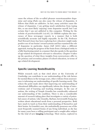#### WHY DO YOU NEED TO KNOW ABOUT THE BRAIN? 11

cause the release of the so-called pleasure neurotransmitter dopamine and using iPads can also cause the release of dopamine, it follows that iPads are addictive. In fact, many activities cause the release of dopamine. I am getting much satisfaction from typing this, so am most likely 'enjoying' some dopamine myself, but I am certain that I am not addicted to this computer. Writing for the website of *yourbrainhealth* (4.9.16), Liv Hibbitt explains the inaccuracy of these newspaper reports in a manner that is both scientifically accurate and highly enjoyable. In the UK, Professor Paul Howard-Jones has been exploring how educators might make positive use of our brains' reward systems and has examined the role of dopamine in particular. James Zull (2011) takes a different approach, tracing the progress of the brain from a biological entity to a fully functioning mind, in a manner that also speaks to the question of age-related development relevant to education. Chapter 6 takes up the question of what these insights from neuroscience offer to the primary and secondary phases of school education, in terms of age-related development.

 $\bigoplus$ 

# **Specific Learning Needs/Disability**

Whilst research such as that cited above at the University of Cambridge can contribute to our understanding of the risk factors for mental illness in the teenage years, other evidence from neuroscience is informing our understanding of specific learning needs. This echoes the point made above that improving our understanding of educational difficulties can significantly inform the design of interventions and of learning and teaching strategies. In the case of autism, the writing of Temple Grandin has considerably enhanced our understanding of the condition. There is also a considerable amount of research taking place that investigates a variety of potential causes of autism. Like Grandin, Barbara Arrowsmith-Young has written about educational needs from a personal perspective. Both have much to teach us from their understanding of themselves and their brains. In Grandin's case, she undoubtedly possesses one of the most frequently scanned brains of any living individual, as she has for many years been a willing participant and a sought-after subject for the trial of new **imaging** technology. Their stories, explored in

⊕

♠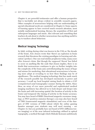Chapter 8, are powerful testimonies and offer a human perspective that is inevitably not always evident in scientific research papers. Other examples of neuroscience helping with our understanding of special educational needs are considered in Chapter 9. Some aspects of learning appear to have received much research attention, most notably mathematical learning, literacy, the acquisition of first and subsequent languages and music. Also relevant and something that teachers do ask about is whether neuroscience has anything useful to say to teachers about behaviour.

 $\bigoplus$ 

## **Medical Imaging Technology**

In 1996, writing during what was known in the USA as 'the decade of the brain', Eric Jensen wrote that 'there's an explosion in brain research that threatens the existing paradigms in learning and education' (preface). One can read similar prophecies today, many years after Jensen's claim. But though the supposed 'threat' has failed to occur on anything like the scale that Jensen implies, there is no doubt that neuroscience continues to give us further insights into the complexity of the brain and, notwithstanding the issues of hype and misuse for marketing, that educational neuroscience is becoming more adept at revealing to us how these findings may be of significance. The medical imaging technology that has made much of the research possible has developed enormously in power and accuracy. I recall my local hospital raising funds to obtain a CAT (computerised axial tomography) scanner during the 1980s. Since then, an array of ever more powerful and sophisticated medical imaging machinery has allowed us to look deeper and deeper into the brain and with increasing spatial (the location of activity in the brain) and temporal (the timing of activity in the brain) accuracy. You may have heard of fMRI (functional magnetic resonance imaging), or PET (positron emission therapy); you may also have heard of TMS (transcranial magnetic stimulation) and even of the dangers of DIY versions of TMS (about which the online gaming fanatics amongst your students may well need warning – see Chapter 3); but you probably have not heard of DTI (diffusion tensor imaging) or of the near infrared technology utilised in optical topography, a method through which Hideaki Koizumi ambitiously

⊕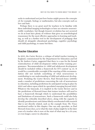seeks to understand not just how brains might process the concepts of, for example, biology or mathematics, but also concepts such as love and hate.

 $\bigoplus$ 

Perhaps there is no great need for teachers to be familiar with these individual imaging technologies or have an extensive neuroscientific vocabulary; but though Jensen's revolution has not occurred we do at least have plenty of evidence that gives us neurobiological reassurance for the most effective approaches to learning and teaching, as well as a further tool in the development of pedagogy that should sit alongside educational psychology, cognitive psychology and child psychology, to name but three.

# **Teacher Education**

In 2015, the Carter Review, a critique of initial teacher training in England, commissioned by the Department for Education and led by Sir Andrew Carter, suggested that there is a case for the formal reintroduction of child development within teacher training programmes: 'Recommendation 1e: child and adolescent development should be included within a framework for ITT content' (p. 9). It would be a considerable oversight if the enacting of this recommendation did not include something of what neuroscience is contributing to our understanding of child and adolescent development. Predating the Carter Review, Paul Howard-Jones (2008b) made a number of predictions concerning the role of neuroscience in education, including predictions he anticipated seeing in place by 2025 and others upon which he speculated emerging beyond 2025. Whatever the timescale, it is implicit in the Carter Review and in the predictions of Howard-Jones that trainee teachers will need to have a framework through which to understand the possibilities and limitations of neuroscience. Such a framework could also help develop the criticality described above, along with the capacity to identify pseudoscience and claims falsely corroborated with research that is not directly related, such as the example from *The Times* mentioned earlier in this chapter. One can only speculate, as Paul Howard-Jones does, as to what the state of play might be in the later years of a teacher who is now at the start of what may be a 35-year, or even longer, career in education.

⊕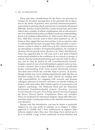These and other considerations for the future are presented in Chapter 10. Prevalent amongst these is the potential role in education in the future of genetics, more precisely behavioural genetics, particularly in alerting schools and parents to potential educational difficulty. Teachers tend to find this a controversial topic and it does indeed raise a number of ethical considerations, but as with neuroscience it is a field of which teachers are likely to need some understanding. Kovas et al. (writing in Mareschal et al., 2013) answer their own question, 'what does everyone need to know about genetics?' (p. 78). In doing so, they suggest that one does not have to be an expert in order to understand the key basic messages from either genetics or neuroscience, a point to which we shall return. In fact, neuroscientists too are attempting to produce developmental guidance, for example in the form of brain growth charts (Kessler et al., 2016). Paul Howard-Jones has suggested that we will soon need a new kind of hybrid professional included in the workforces of our schools or groups of schools, that has professional training and expertise both in education and in what he prefers to call 'neuroeducational research'. Imagine a panel at your school attempting to appoint such a person; in such a scenario, there is most definitely a need for a considerably greater understanding of the issues around educational neuroscience than most schools can currently claim to possess. At present, though schools may not be making appointments quite like this, as described earlier in this chapter many schools are creating roles with responsibilities for engaging with research and keeping colleagues informed of research, and there are schools working on projects with universities that include aspects of neuroscience and cognitive psychology. The Wellcome Trust and the Education Endowment Foundation-funded projects (*Teensleep, Learning Counterintuitive Concepts, Fit to Study, Spaced Learning, Engaging the Brain's Reward System, GraphoGame Rime*) are examples. These are mentioned in subsequent chapters, along with other projects that employ varying approaches to the interface of neuroscience and education.

 $\bigoplus$ 

Having read this introduction, you may be drawn to particular chapters or you may prefer to continue on to Chapter 2. Either approach is feasible and I have endeavoured to signpost links between chapters where they arise. One thing I have elected not to do is to include a large section exclusively on brain function and

♠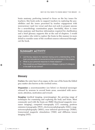#### WHY DO YOU NEED TO KNOW ABOUT THE BRAIN? 15

brain anatomy, preferring instead to focus on the key issues for teachers; this book seeks to support teachers in exploring the possibilities and the issues presented by teacher engagement with neuroscience (and vice versa) and does not seek to prepare anyone for a neurobiology examination paper. Inevitably, there is some brain anatomy and function information required for clarification and a brief glossary supports this at the end of chapters. I would urge readers who wish to explore the brain in this manner in more detail to consider some of the excellent sources referenced throughout the book.

 $\bigoplus$ 

# Summary Activity

- List the key reasons for teachers having some understanding of the brain and educational neuroscience that are proposed in this chapter.
- What is your personal response to these reasons?
- How would you put these reasons to a colleague, a group of colleagues or the staff of your school?

# **Glossary**

♠

**Cortex:** the outer layer of an organ, in the case of the brain the folded grey matter also known as the cerebral cortex.

**Dopamine:** a neurotransmitter (see below) or chemical messenger released by neurons in several brain areas, associated with movement, attention, motivation and reward.

**Imaging** (medical imaging, neuroimaging): the growing range of techniques for examining and exploring the body and brain. Most commonly used with the brain are fMRI (functional magnetic resonance imaging), computed tomography (CT) scanning, positron emission tomography (PET), electroencephalography (EEG), magnetoencephalography (MEG), near infrared spectroscopy (NIRS), transcranial magnetic stimulation (TMS) and diffusion tensor imaging (DTI).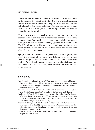**Neuromodulator:** neuromodulators reduce or increase excitability in the neurons they affect, controlling the rate of neurotransmitter release. Unlike neurotransmitters, they can affect neurons that are not adjacent to the neuromodulator. They can act for longer than neurotransmitters. Examples include the opioid peptides, such as endorphins and dynorphins.

 $\textcircled{\scriptsize{*}}$ 

**Neurotransmitter:** chemical messenger that supports signals between neurons or nerve cells, released across synapses (see *synaptic activity* below). Examples include dopamine, acetylcholine, noradrenaline (also known as norepinephrine), gamma aminobutyric acid (GABA) and serotonin. The latter two examples are *inhibitory* neurotransmitters, which inhibit rather than excite the neuron with which they are communicating.

**Synaptic activity:** where action potentials (nerve impulses) are transmitted, chemically or electrically, between neurons. Synapse refers to the gap between the axon of one neuron and the dendrite of another. An electrical synapse involves direct contact between neurons, whereas in a chemical synapse neurotransmitters communicate across the gap.

## **References**

- American Chemical Society (2016) Watching thoughts and addiction form in the brain. Available at: www.acs.org/content/acs/en/pressroom/ newsreleases/2016/august/watching-and-addiction-form-in-the-brain. html (accessed 25.8.16).
- Anderson, M. and Della Sala, S. (eds) (2011) *Neuroscience in Education: The Good, the Bad and the Ugly*. Oxford: Oxford University Press.
- Appleyard, B. (2016) We cheer the golds because in our heads we're the ones who won them. *The Times*. Available at: www.thetimes.co.uk/article/wecheer-the-golds-and-goals-because-in-our-heads-it-is-us-who-havewon-them-8spcj2lpn (accessed 1.9.16).
- Argyris, K., Stringaris, N. C., Medford, V., Giampietro, M. J., Brammer, M. and David, A. S. (2007) Deriving meaning: Distinct neuronal mechanisms for metaphoric, literal and non-meaningful sentences. *Brain and Language 100*(2): 150–62.
- Carter, A. (2015) *Carter Review of Initial Teacher Training (ITT)*. London: Department for Education.

⊕